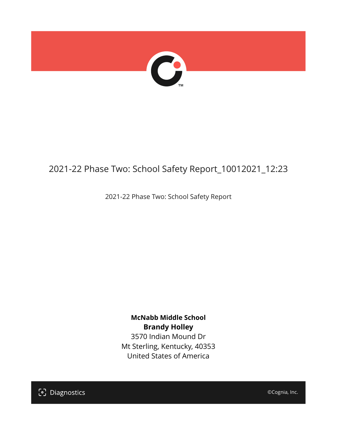

## 2021-22 Phase Two: School Safety Report\_10012021\_12:23

2021-22 Phase Two: School Safety Report

**McNabb Middle School Brandy Holley** 3570 Indian Mound Dr Mt Sterling, Kentucky, 40353 United States of America

[၁] Diagnostics

©Cognia, Inc.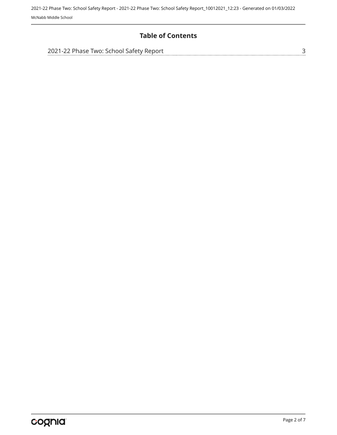2021-22 Phase Two: School Safety Report - 2021-22 Phase Two: School Safety Report\_10012021\_12:23 - Generated on 01/03/2022 McNabb Middle School

### **Table of Contents**

| 2021-22 Phase Two: School Safety Report |  |
|-----------------------------------------|--|
|                                         |  |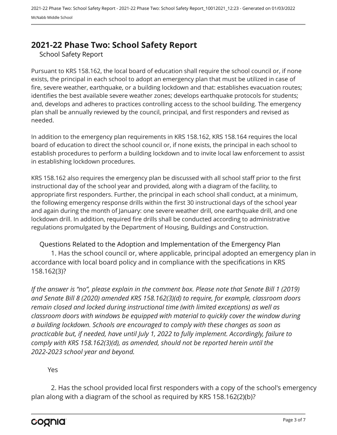## <span id="page-2-0"></span>**2021-22 Phase Two: School Safety Report**

School Safety Report

Pursuant to KRS 158.162, the local board of education shall require the school council or, if none exists, the principal in each school to adopt an emergency plan that must be utilized in case of fire, severe weather, earthquake, or a building lockdown and that: establishes evacuation routes; identifies the best available severe weather zones; develops earthquake protocols for students; and, develops and adheres to practices controlling access to the school building. The emergency plan shall be annually reviewed by the council, principal, and first responders and revised as needed.

In addition to the emergency plan requirements in KRS 158.162, KRS 158.164 requires the local board of education to direct the school council or, if none exists, the principal in each school to establish procedures to perform a building lockdown and to invite local law enforcement to assist in establishing lockdown procedures.

KRS 158.162 also requires the emergency plan be discussed with all school staff prior to the first instructional day of the school year and provided, along with a diagram of the facility, to appropriate first responders. Further, the principal in each school shall conduct, at a minimum, the following emergency response drills within the first 30 instructional days of the school year and again during the month of January: one severe weather drill, one earthquake drill, and one lockdown drill. In addition, required fire drills shall be conducted according to administrative regulations promulgated by the Department of Housing, Buildings and Construction.

Questions Related to the Adoption and Implementation of the Emergency Plan 1. Has the school council or, where applicable, principal adopted an emergency plan in accordance with local board policy and in compliance with the specifications in KRS 158.162(3)?

*If the answer is "no", please explain in the comment box. Please note that Senate Bill 1 (2019) and Senate Bill 8 (2020) amended KRS 158.162(3)(d) to require, for example, classroom doors remain closed and locked during instructional time (with limited exceptions) as well as classroom doors with windows be equipped with material to quickly cover the window during a building lockdown. Schools are encouraged to comply with these changes as soon as practicable but, if needed, have until July 1, 2022 to fully implement. Accordingly, failure to comply with KRS 158.162(3)(d), as amended, should not be reported herein until the 2022-2023 school year and beyond.*

#### Yes

2. Has the school provided local first responders with a copy of the school's emergency plan along with a diagram of the school as required by KRS 158.162(2)(b)?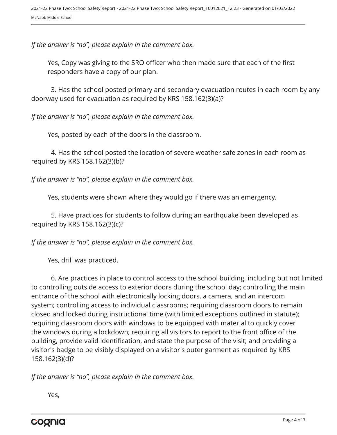*If the answer is "no", please explain in the comment box.*

Yes, Copy was giving to the SRO officer who then made sure that each of the first responders have a copy of our plan.

3. Has the school posted primary and secondary evacuation routes in each room by any doorway used for evacuation as required by KRS 158.162(3)(a)?

*If the answer is "no", please explain in the comment box.*

Yes, posted by each of the doors in the classroom.

4. Has the school posted the location of severe weather safe zones in each room as required by KRS 158.162(3)(b)?

*If the answer is "no", please explain in the comment box.*

Yes, students were shown where they would go if there was an emergency.

5. Have practices for students to follow during an earthquake been developed as required by KRS 158.162(3)(c)?

*If the answer is "no", please explain in the comment box.*

Yes, drill was practiced.

6. Are practices in place to control access to the school building, including but not limited to controlling outside access to exterior doors during the school day; controlling the main entrance of the school with electronically locking doors, a camera, and an intercom system; controlling access to individual classrooms; requiring classroom doors to remain closed and locked during instructional time (with limited exceptions outlined in statute); requiring classroom doors with windows to be equipped with material to quickly cover the windows during a lockdown; requiring all visitors to report to the front office of the building, provide valid identification, and state the purpose of the visit; and providing a visitor's badge to be visibly displayed on a visitor's outer garment as required by KRS 158.162(3)(d)?

*If the answer is "no", please explain in the comment box.*

Yes,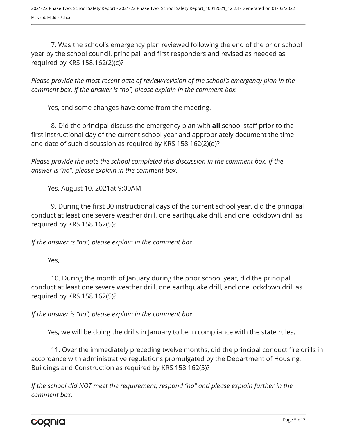7. Was the school's emergency plan reviewed following the end of the prior school year by the school council, principal, and first responders and revised as needed as required by KRS 158.162(2)(c)?

*Please provide the most recent date of review/revision of the school's emergency plan in the comment box. If the answer is "no", please explain in the comment box.* 

Yes, and some changes have come from the meeting.

8. Did the principal discuss the emergency plan with **all** school staff prior to the first instructional day of the current school year and appropriately document the time and date of such discussion as required by KRS 158.162(2)(d)?

*Please provide the date the school completed this discussion in the comment box. If the answer is "no", please explain in the comment box.*

Yes, August 10, 2021at 9:00AM

9. During the first 30 instructional days of the current school year, did the principal conduct at least one severe weather drill, one earthquake drill, and one lockdown drill as required by KRS 158.162(5)?

*If the answer is "no", please explain in the comment box.*

Yes,

10. During the month of January during the prior school year, did the principal conduct at least one severe weather drill, one earthquake drill, and one lockdown drill as required by KRS 158.162(5)?

*If the answer is "no", please explain in the comment box.*

Yes, we will be doing the drills in January to be in compliance with the state rules.

11. Over the immediately preceding twelve months, did the principal conduct fire drills in accordance with administrative regulations promulgated by the Department of Housing, Buildings and Construction as required by KRS 158.162(5)?

*If the school did NOT meet the requirement, respond "no" and please explain further in the comment box.*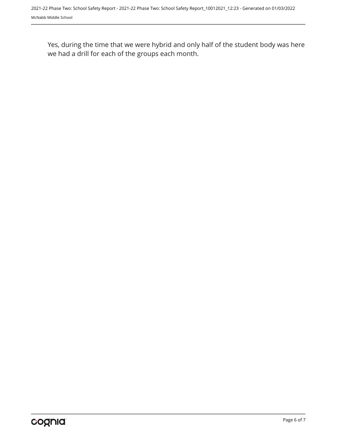Yes, during the time that we were hybrid and only half of the student body was here we had a drill for each of the groups each month.